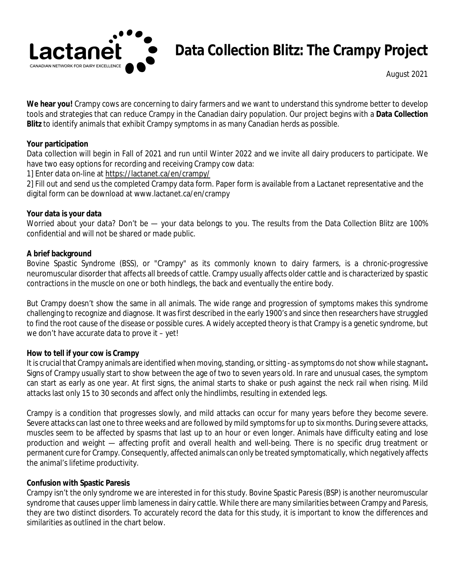

# **Data Collection Blitz: The Crampy Project**

*August 2021*

**We hear you!** Crampy cows are concerning to dairy farmers and we want to understand this syndrome better to develop tools and strategies that can reduce Crampy in the Canadian dairy population. Our project begins with a **Data Collection Blitz** to identify animals that exhibit Crampy symptoms in as many Canadian herds as possible.

#### **Your participation**

Data collection will begin in Fall of 2021 and run until Winter 2022 and we invite all dairy producers to participate. We have two easy options for recording and receiving Crampy cow data:

1] Enter data on-line a[t https://lactanet.ca/en/crampy/](https://lactanet.ca/en/crampy/)

2] Fill out and send us the completed Crampy data form. Paper form is available from a Lactanet representative and the digital form can be download at www.lactanet.ca/en/crampy

#### **Your data is your data**

Worried about your data? Don't be — your data belongs to you. The results from the Data Collection Blitz are 100% confidential and will not be shared or made public.

#### **A brief background**

Bovine Spastic Syndrome (BSS), or "Crampy" as its commonly known to dairy farmers, is a chronic-progressive neuromuscular disorder that affects all breeds of cattle. Crampy usually affects older cattle and is characterized by spastic contractions in the muscle on one or both hindlegs, the back and eventually the entire body.

But Crampy doesn't show the same in all animals. The wide range and progression of symptoms makes this syndrome challenging to recognize and diagnose. It was first described in the early 1900's and since then researchers have struggled to find the root cause of the disease or possible cures. A widely accepted theory is that Crampy is a genetic syndrome, but we don't have accurate data to prove it – yet!

# **How to tell if your cow is Crampy**

It is crucial that Crampy animals are identified when moving, standing, or sitting - as symptoms do not show while stagnant**.**  Signs of Crampy usually start to show between the age of two to seven years old. In rare and unusual cases, the symptom can start as early as one year. At first signs, the animal starts to shake or push against the neck rail when rising. Mild attacks last only 15 to 30 seconds and affect only the hindlimbs, resulting in extended legs.

Crampy is a condition that progresses slowly, and mild attacks can occur for many years before they become severe. Severe attacks can last one to three weeks and are followed by mild symptoms for up to six months. During severe attacks, muscles seem to be affected by spasms that last up to an hour or even longer. Animals have difficulty eating and lose production and weight — affecting profit and overall health and well-being. There is no specific drug treatment or permanent cure for Crampy. Consequently, affected animals can only be treated symptomatically, which negatively affects the animal's lifetime productivity.

# **Confusion with Spastic Paresis**

Crampy isn't the only syndrome we are interested in for this study. Bovine Spastic Paresis (BSP) is another neuromuscular syndrome that causes upper limb lameness in dairy cattle. While there are many similarities between Crampy and Paresis, they are two distinct disorders. To accurately record the data for this study, it is important to know the differences and similarities as outlined in the chart below.